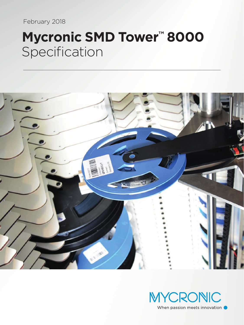February 2018

# Mycronic SMD Tower<sup>™</sup> 8000 Specification



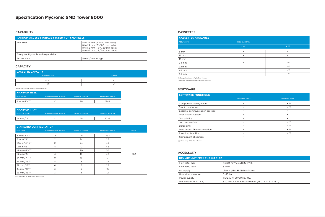## **Specification Mycronic SMD Tower 8000**

#### **CAPABILITY**

#### **STANDARD CONFIGURATION**

| <b>SIANDARD CONFIGURATION</b> |                              |                       |                        |              |
|-------------------------------|------------------------------|-----------------------|------------------------|--------------|
| <b>REEL WIDTH</b>             | <b>CASSETTES / SMD TOWER</b> | <b>REELS/CASSETTE</b> | <b>NUMBER OF REELS</b> | <b>TOTAL</b> |
| 8 mm/4"-7"                    | 14                           | 28                    | 392                    |              |
| $8 \, \text{mm} / 15$ "       | 2                            | 14                    | 28                     |              |
| 12 mm/4"-7"                   | 2                            | 24                    | 48                     |              |
| 12 mm/15"                     | $\overline{4}$               | 12                    | 48                     |              |
| 16 mm/4"-7"                   |                              | 20                    | 20                     |              |
| 16 mm/15"                     | $\overline{4}$               | 10 <sup>°</sup>       | 40                     | 663          |
| 24 mm/4"-7"                   | $\Omega$                     | 16                    | $\circ$                |              |
| 24 mm/15"(1)                  | $\overline{4}$               | 8                     | 32                     |              |
| 32 mm/15"(1)                  | $\overline{4}$               | 7                     | 28                     |              |
| 44 mm/15"(1)                  | 3                            | 5                     | 15                     |              |
| 56 mm/15"(1)                  | 3                            | 4                     | 12                     |              |

| <b>I MAXIMUM REEL</b>  |                              |                       |                 |
|------------------------|------------------------------|-----------------------|-----------------|
| <b>REEL WIDTH</b>      | <b>CASSETTES / SMD TOWER</b> | <b>REELS/CASSETTE</b> | NUMBER OF REELS |
| $8 \text{ mm} / 4 - 7$ | 4                            |                       | 1148            |

| <b>MAXIMUM TRAY</b>   |                              |                  |                        |
|-----------------------|------------------------------|------------------|------------------------|
| <b>CASSETTE WIDTH</b> | <b>CASSETTES / SMD TOWER</b> | TRAYS / CASSETTE | <b>NUMBER OF TRAYS</b> |
| $44$ mm/15"           |                              |                  | 1025                   |

| <b>CASSETTE CAPACITY</b> |               |  |
|--------------------------|---------------|--|
| <b>CASSETTE TYPE</b>     | <b>NUMBER</b> |  |
| $\Delta$ " – 7"          |               |  |
| 1도"                      |               |  |

#### CASSETTES

| <b>RANDOM ACCESS STORAGE SYSTEM FOR SMD REELS</b> |                                                                                                                                |  |
|---------------------------------------------------|--------------------------------------------------------------------------------------------------------------------------------|--|
| Reel sizes                                        | 8 to 24 mm (4"/100 mm reels)<br>8 to 24 mm (7"/180 mm reels)<br>8 to 56 mm (13"/330 mm reels)<br>8 to 56 mm (15"/380 mm reels) |  |
| Freely configurable and expandable                |                                                                                                                                |  |
| Access time                                       | 5 reels/minute typ.                                                                                                            |  |

#### **CAPACITY**

| DRY AIR UNIT FREY FND 3.0 F-DP    |                                                      |  |
|-----------------------------------|------------------------------------------------------|--|
| Flow rate, max                    | (in) 24 m <sup>3</sup> /h, (out) 20 m <sup>3</sup> / |  |
| Flow rate, type                   | $3 \text{ m}^3/h$                                    |  |
| Air supply                        | class 4 (ISO 8573-1) or be                           |  |
| Operating pressure                | $5-10$ bar                                           |  |
| Power supply                      | 115/230 V, 50/60 Hz, 18W                             |  |
| Dimension $(W \times D \times H)$ | 330 mm x 270 mm x 840                                |  |

 $20 \text{ m}^3/h$ or better  $(840 \text{ mm} (13.0" \times 10.6" \times 33.1")$ 

#### ACCESSORY

| <b>SOFTWARE FUNCTIONS</b>       |                      |                      |
|---------------------------------|----------------------|----------------------|
|                                 | <b>STANDARD MODE</b> | <b>MYCENTER MODE</b> |
| Component management            |                      | (3)                  |
| Stock monitoring                |                      | (3)                  |
| External communication protocol |                      | ٠                    |
| User Access System              |                      | ٠                    |
| Traceability                    |                      | ٠                    |
| Job preparation                 |                      | (3)                  |
| Barcoding                       |                      | (3)                  |
| Data import/Export function     |                      | (3)                  |
| Inventory function              |                      | (3)                  |
| Component allocation            |                      |                      |

(3) Handled by MYCenter software.

### SOFTWARE

Smaller reels can be stored in larger cassettes.

| <b>CASSETTES AVAILABLE</b> |                      |               |
|----------------------------|----------------------|---------------|
| <b>REEL WIDTH</b>          | <b>REEL DIAMETER</b> |               |
|                            | $4" - 7"$            | $15$ " (2)    |
| 8 mm                       | $\bullet$            | $\bullet$     |
| $12 \, \text{mm}$          | $\bullet$            | ٠             |
| 16 mm                      | $\bullet$            | $\bullet$     |
| 24 mm                      | $\bullet$            | $\bullet$ (1) |
| 32 mm                      |                      | $\bullet$ (1) |
| 44 mm                      |                      | $\bullet$ (1) |
| 56 mm                      |                      | $\bullet$ (1) |

(1) Compatible to store Agilis Smart boxes

(2) Smaller reels can be stored in larger cassettes.

(1) Compatible to store Agilis Smart boxes.